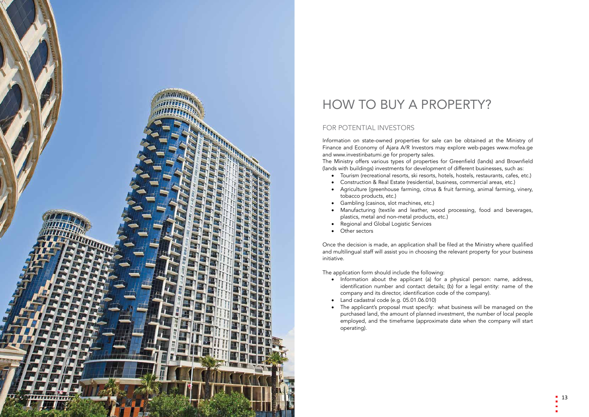

# HOW TO BUY A PROPERTY?

## FOR POTENTIAL INVESTORS

Information on state-owned properties for sale can be obtained at the Ministry of Finance and Economy of Ajara A/R Investors may explore web-pages www.mofea.ge and www.investinbatumi.ge for property sales. The Ministry offers various types of properties for Greenfield (lands) and Brownfield (lands with buildings) investments for development of different businesses, such as:

- • Tourism (recreational resorts, ski resorts, hotels, hostels, restaurants, cafes, etc.)
- • Construction & Real Estate (residential, business, commercial areas, etc.) • Agriculture (greenhouse farming, citrus & fruit farming, animal farming, vinery,
- tobacco products, etc.)
- Gambling (casinos, slot machines, etc.)
- • Manufacturing (textile and leather, wood processing, food and beverages, plastics, metal and non-metal products, etc.)
- • Regional and Global Logistic Services
- • Other sectors

Once the decision is made, an application shall be filed at the Ministry where qualified and multilingual staff will assist you in choosing the relevant property for your business initiative.

The application form should include the following:

- • Information about the applicant (a) for a physical person: name, address, identification number and contact details; (b) for a legal entity: name of the company and its director, identification code of the company).
- Land cadastral code (e.g. 05.01.06.010)
- The applicant's proposal must specify: what business will be managed on the purchased land, the amount of planned investment, the number of local people employed, and the timeframe (approximate date when the company will start operating).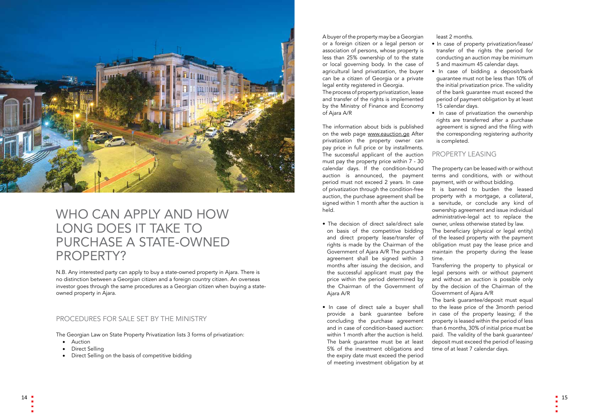

## WHO CAN APPLY AND HOW LONG DOES IT TAKE TO PURCHASE A STATE-OWNED PROPERTY?

N.B. Any interested party can apply to buy a state-owned property in Ajara. There is no distinction between a Georgian citizen and a foreign country citizen. An overseas investor goes through the same procedures as a Georgian citizen when buying a stateowned property in Ajara.

- • Auction
- Direct Selling
- Direct Selling on the basis of competitive bidding

### PROCEDURES FOR SALE SET BY THE MINISTRY

The Georgian Law on State Property Privatization lists 3 forms of privatization:

A buyer of the property may be a Georgian or a foreign citizen or a legal person or association of persons, whose property is less than 25% ownership of to the state or local governing body. In the case of agricultural land privatization, the buyer can be a citizen of Georgia or a private legal entity registered in Georgia.

The process of property privatization, lease and transfer of the rights is implemented by the Ministry of Finance and Economy of Ajara A/R

The information about bids is published on the web page www.eauction.ge After privatization the property owner can pay price in full price or by installments. The successful applicant of the auction must pay the property price within 7 - 30 calendar days. If the condition-bound auction is announced, the payment period must not exceed 2 years. In case of privatization through the condition-free auction, the purchase agreement shall be signed within 1 month after the auction is held.

- The decision of direct sale/direct sale on basis of the competitive bidding and direct property lease/transfer of rights is made by the Chairman of the Government of Ajara A/R The purchase agreement shall be signed within 3 months after issuing the decision, and the successful applicant must pay the price within the period determined by the Chairman of the Government of Ajara A/R
- In case of direct sale a buver shall provide a bank guarantee before concluding the purchase agreement and in case of condition-based auction: within 1 month after the auction is held. The bank guarantee must be at least 5% of the investment obligations and the expiry date must exceed the period of meeting investment obligation by at

least 2 months.

• In case of property privatization/lease/ transfer of the rights the period for conducting an auction may be minimum 5 and maximum 45 calendar days.

• In case of bidding a deposit/bank guarantee must not be less than 10% of the initial privatization price. The validity of the bank guarantee must exceed the period of payment obligation by at least 15 calendar days.

• In case of privatization the ownership rights are transferred after a purchase agreement is signed and the filing with the corresponding registering authority is completed.

### PROPERTY LEASING

The property can be leased with or without terms and conditions, with or without payment, with or without bidding.

It is banned to burden the leased property with a mortgage, a collateral, a servitude, or conclude any kind of ownership agreement and issue individual administrative-legal act to replace the owner, unless otherwise stated by law.

The beneficiary (physical or legal entity) of the leased property with the payment obligation must pay the lease price and maintain the property during the lease

time.

Transferring the property to physical or legal persons with or without payment and without an auction is possible only by the decision of the Chairman of the Government of Ajara A/R

The bank guarantee/deposit must equal to the lease price of the 3month period in case of the property leasing; if the property is leased within the period of less than 6 months, 30% of initial price must be paid. The validity of the bank guarantee/ deposit must exceed the period of leasing time of at least 7 calendar days.